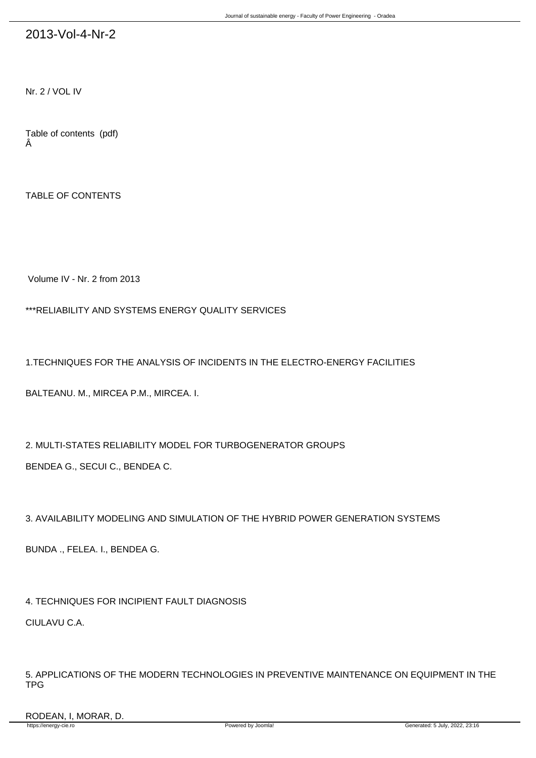## 2013-Vol-4-Nr-2

Nr. 2 / VOL IV

Table of contents (pdf) Â

TABLE OF CONTENTS

Volume IV - Nr. 2 from 2013

\*\*\*RELIABILITY AND SYSTEMS ENERGY QUALITY SERVICES

1.TECHNIQUES FOR THE ANALYSIS OF INCIDENTS IN THE ELECTRO-ENERGY FACILITIES

BALTEANU. M., MIRCEA P.M., MIRCEA. I.

2. MULTI-STATES RELIABILITY MODEL FOR TURBOGENERATOR GROUPS BENDEA G., SECUI C., BENDEA C.

3. AVAILABILITY MODELING AND SIMULATION OF THE HYBRID POWER GENERATION SYSTEMS

BUNDA ., FELEA. I., BENDEA G.

4. TECHNIQUES FOR INCIPIENT FAULT DIAGNOSIS CIULAVU C.A.

5. APPLICATIONS OF THE MODERN TECHNOLOGIES IN PREVENTIVE MAINTENANCE ON EQUIPMENT IN THE TPG